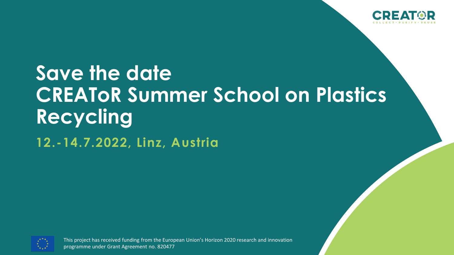

## **Save the date CREAToR Summer School on Plastics Recycling**

**12.-14.7.2022, Linz, Austria**



This project has received funding from the European Union's Horizon 2020 research and innovation programme under Grant Agreement no. 820477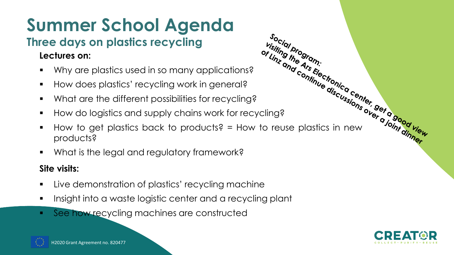## **Summer School Agenda**

### **Three days on plastics recycling**

#### **Lectures on:**

- 
- How does plastics' recycling work in general?
- What are the different possibilities for recycling?
- How do logistics and supply chains work for recycling?
- Ectures on:<br>
Why are plastics used in so many applications?<br>
Why are plastics used in so many applications?<br>
How does plastics' recycling work in general?<br>
What is the different possibilities for recycling?<br>
How  $\blacksquare$  How to get plastics back to products?  $\blacksquare$  How to reuse plastics in new products?

Social program:<br>Prisiting the gram:<br>Or Linz and Ars

■ What is the legal and regulatory framework?

#### **Site visits:**

- Live demonstration of plastics' recycling machine
- Insight into a waste logistic center and a recycling plant
- See how recycling machines are constructed



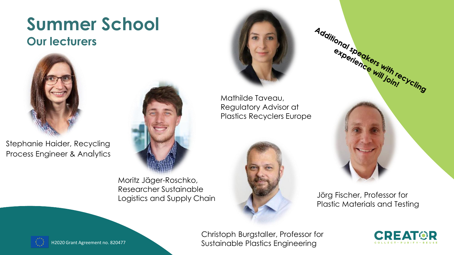## **Summer School**

#### **Our lecturers**



Stephanie Haider, Recycling Process Engineer & Analytics



Moritz Jäger-Roschko, Researcher Sustainable Logistics and Supply Chain



Mathilde Taveau, Plastics Recyclers Europe





Jörg Fischer, Professor for Plastic Materials and Testing



H2020 Grant Agreement no. 820477

Christoph Burgstaller, Professor for Sustainable Plastics Engineering

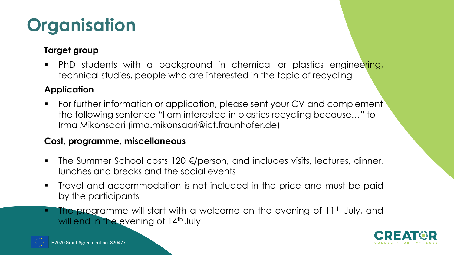## **Organisation**

#### **Target group**

**•** PhD students with a background in chemical or plastics engineering, technical studies, people who are interested in the topic of recycling

#### **Application**

■ For further information or application, please sent your CV and complement the following sentence "I am interested in plastics recycling because…" to Irma Mikonsaari (irma.mikonsaari@ict.fraunhofer.de)

#### **Cost, programme, miscellaneous**

- The Summer School costs 120 €/person, and includes visits, lectures, dinner, lunches and breaks and the social events
- Travel and accommodation is not included in the price and must be paid by the participants
- **The programme will start with a welcome on the evening of 11<sup>th</sup> July, and** will end in the evening of 14<sup>th</sup> July



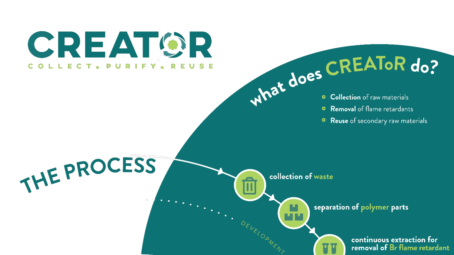**CREATOR** COLLECT. PURIFY. REUSE

THE PROCESS



- 
- **Removal** of flame retardants  $\bullet$
- Reuse of secondary raw materials ۰

collection of waste

DEVELOP

separation of polymer parts



continuous extraction for removal of Br flame retardant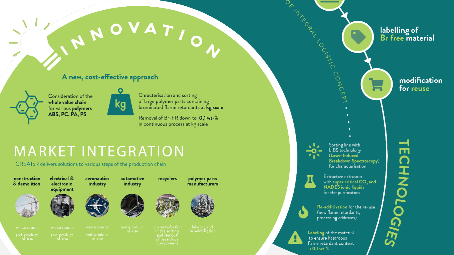NOVATION

#### A new, cost-effective approach



Consideration of the whole value chain for various polymers ABS, PC, PA, PS



Chracterisation and sorting of large polymer parts containing brominated flame retardants at kg scale

Removal of Br-FR down to 0,1 wt-% in continuous process at kg scale

### **MARKET INTEGRATION**

CREAToR delivers solutions to various steps of the production chain





electrical & aeronautics electronic industry equipment



automotive

industry



recyclers



polymer parts

manufacturers

ORTHERY CONCEPT. labelling of<br>Br free material Sorting line with ш LIBS technology (Laser-Induced CHNOLOGIES **Breakdown Spectroscopy)** for characterisation

Extractive extrusion with super critical CO<sub>2</sub> and **NADES** ionic liquids for the purification

Re-additivation for the re-use (new flame retardants, processing additives)

Labeling of the material to ensure hazardous flame retardant content  $< 0.1$  wt-%

modification for reuse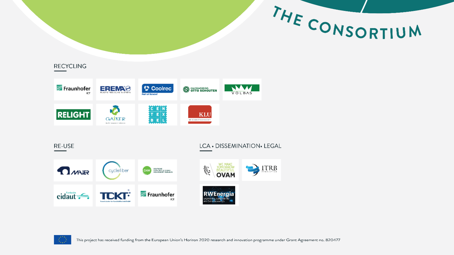

#### **RECYCLING**



RE-USE

#### LCA · DISSEMINATION · LEGAL